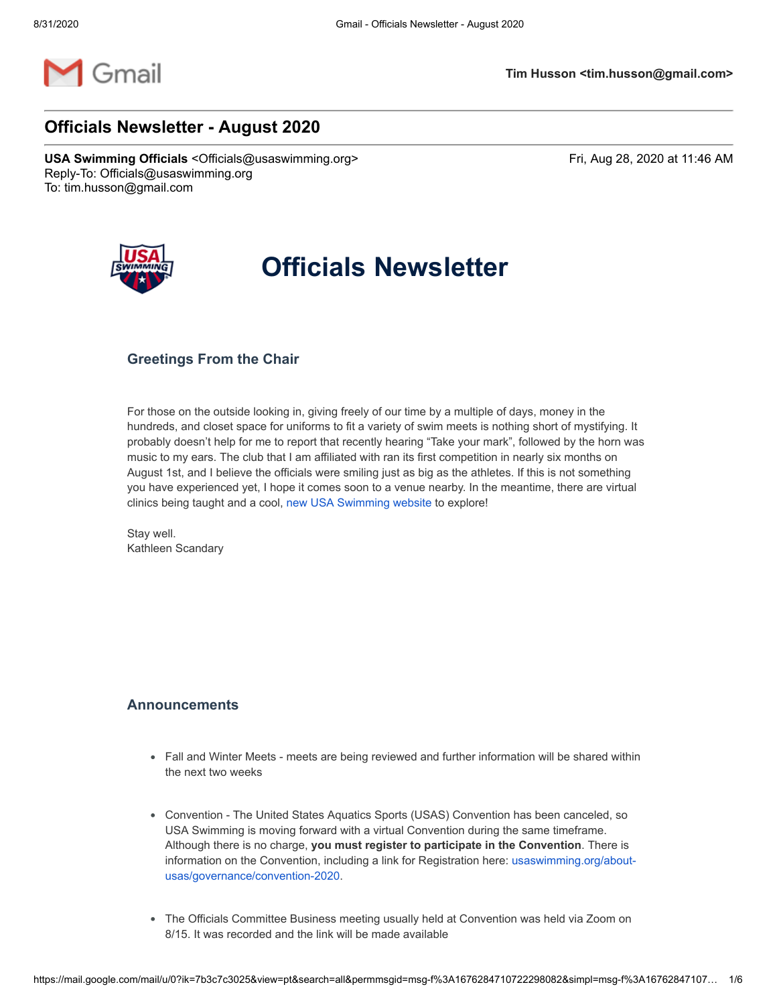

## **Officials Newsletter - August 2020**

USA Swimming Officials <Officials@usaswimming.org> Fri, Aug 28, 2020 at 11:46 AM Reply-To: Officials@usaswimming.org To: tim.husson@gmail.com



# **Officials Newsletter**

## **Greetings From the Chair**

For those on the outside looking in, giving freely of our time by a multiple of days, money in the hundreds, and closet space for uniforms to fit a variety of swim meets is nothing short of mystifying. It probably doesn't help for me to report that recently hearing "Take your mark", followed by the horn was music to my ears. The club that I am affiliated with ran its first competition in nearly six months on August 1st, and I believe the officials were smiling just as big as the athletes. If this is not something you have experienced yet, I hope it comes soon to a venue nearby. In the meantime, there are virtual clinics being taught and a cool, [new USA Swimming website](http://pages.usaswimming.org/HK0000B0wOAoEZ20r1C00PZ) to explore!

Stay well. Kathleen Scandary

## **Announcements**

- Fall and Winter Meets meets are being reviewed and further information will be shared within the next two weeks
- Convention The United States Aquatics Sports (USAS) Convention has been canceled, so USA Swimming is moving forward with a virtual Convention during the same timeframe. Although there is no charge, **you must register to participate in the Convention**. There is [information on the Convention, including a link for Registration here: usaswimming.org/about](http://pages.usaswimming.org/E0Z0K0O6Cjo0w0BZ0G02r01)usas/governance/convention-2020.
- The Officials Committee Business meeting usually held at Convention was held via Zoom on 8/15. It was recorded and the link will be made available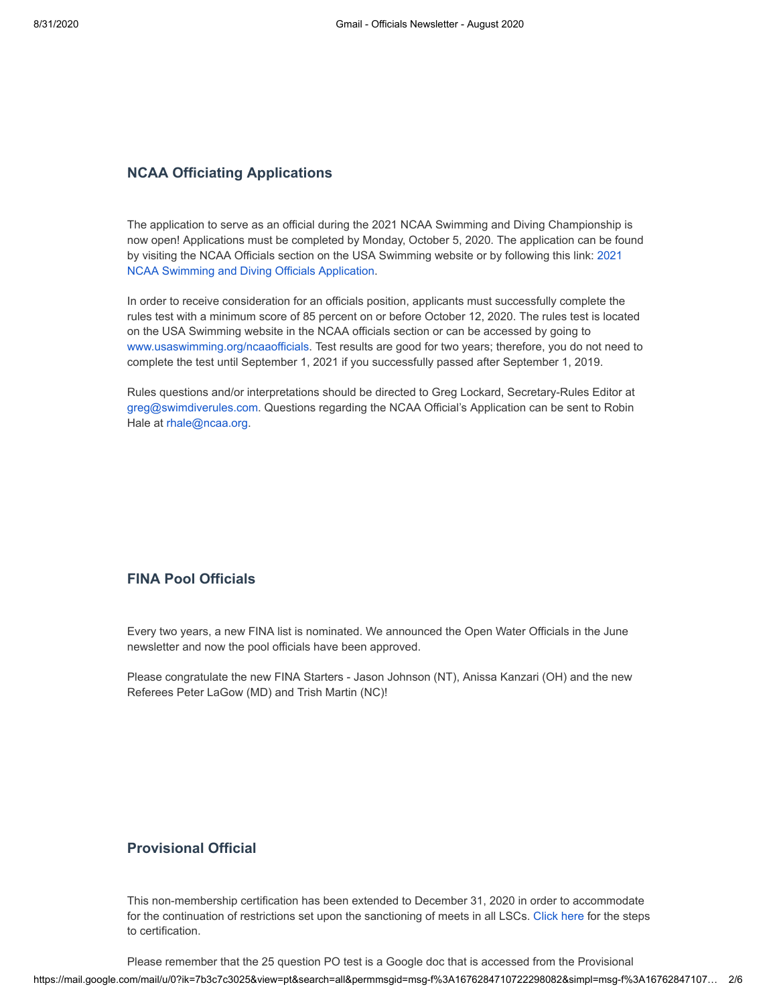## **NCAA Officiating Applications**

The application to serve as an official during the 2021 NCAA Swimming and Diving Championship is now open! Applications must be completed by Monday, October 5, 2020. The application can be found [by visiting the NCAA Officials section on the USA Swimming website or by following this link: 2021](http://pages.usaswimming.org/p0200K01cZ0B0swCZr0OoD0) NCAA Swimming and Diving Officials Application.

In order to receive consideration for an officials position, applicants must successfully complete the rules test with a minimum score of 85 percent on or before October 12, 2020. The rules test is located on the USA Swimming website in the NCAA officials section or can be accessed by going to [www.usaswimming.org/ncaaofficials](http://pages.usaswimming.org/m000wB0020BZ1rOoCEQ0KZ0). Test results are good for two years; therefore, you do not need to complete the test until September 1, 2021 if you successfully passed after September 1, 2019.

Rules questions and/or interpretations should be directed to Greg Lockard, Secretary-Rules Editor at [greg@swimdiverules.com.](http://pages.usaswimming.org/O0E0O2BZ0000wKrR0C0Z1oC) Questions regarding the NCAA Official's Application can be sent to Robin Hale at [rhale@ncaa.org](http://pages.usaswimming.org/idDK0wC1Otr00Z000oB0Z02).

## **FINA Pool Officials**

Every two years, a new FINA list is nominated. We announced the Open Water Officials in the June newsletter and now the pool officials have been approved.

Please congratulate the new FINA Starters - Jason Johnson (NT), Anissa Kanzari (OH) and the new Referees Peter LaGow (MD) and Trish Martin (NC)!

### **Provisional Official**

This non-membership certification has been extended to December 31, 2020 in order to accommodate for the continuation of restrictions set upon the sanctioning of meets in all LSCs. [Click here](http://pages.usaswimming.org/tZZO0B0GKo0r700wC20001k) for the steps to certification.

https://mail.google.com/mail/u/0?ik=7b3c7c3025&view=pt&search=all&permmsgid=msg-f%3A1676284710722298082&simpl=msg-f%3A16762847107… 2/6 Please remember that the 25 question PO test is a Google doc that is accessed from the Provisional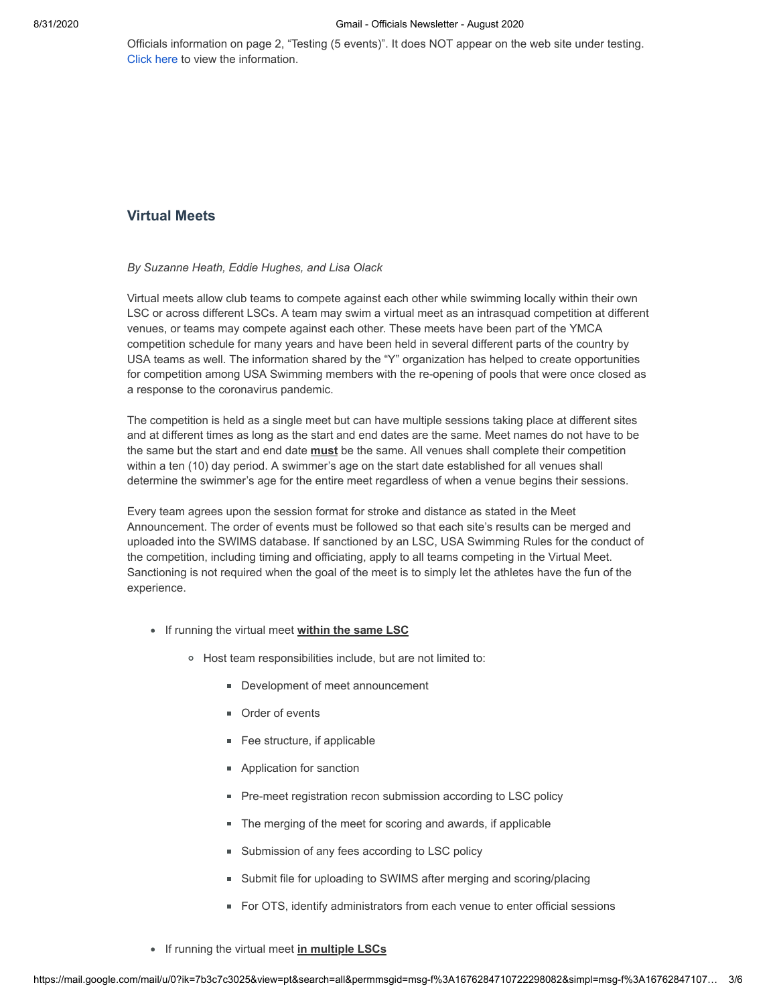Officials information on page 2, "Testing (5 events)". It does NOT appear on the web site under testing. [Click here](http://pages.usaswimming.org/Y0Z2D0ewO00Bo000rCK0uZ1) to view the information.

## **Virtual Meets**

#### *By Suzanne Heath, Eddie Hughes, and Lisa Olack*

Virtual meets allow club teams to compete against each other while swimming locally within their own LSC or across different LSCs. A team may swim a virtual meet as an intrasquad competition at different venues, or teams may compete against each other. These meets have been part of the YMCA competition schedule for many years and have been held in several different parts of the country by USA teams as well. The information shared by the "Y" organization has helped to create opportunities for competition among USA Swimming members with the re-opening of pools that were once closed as a response to the coronavirus pandemic.

The competition is held as a single meet but can have multiple sessions taking place at different sites and at different times as long as the start and end dates are the same. Meet names do not have to be the same but the start and end date **must** be the same. All venues shall complete their competition within a ten (10) day period. A swimmer's age on the start date established for all venues shall determine the swimmer's age for the entire meet regardless of when a venue begins their sessions.

Every team agrees upon the session format for stroke and distance as stated in the Meet Announcement. The order of events must be followed so that each site's results can be merged and uploaded into the SWIMS database. If sanctioned by an LSC, USA Swimming Rules for the conduct of the competition, including timing and officiating, apply to all teams competing in the Virtual Meet. Sanctioning is not required when the goal of the meet is to simply let the athletes have the fun of the experience.

- **If running the virtual meet within the same LSC** 
	- Host team responsibilities include, but are not limited to:
		- Development of meet announcement
		- **Drder of events**
		- **Fee structure, if applicable**
		- Application for sanction
		- **Pre-meet registration recon submission according to LSC policy**
		- **The merging of the meet for scoring and awards, if applicable**
		- **Submission of any fees according to LSC policy**
		- Submit file for uploading to SWIMS after merging and scoring/placing
		- For OTS, identify administrators from each venue to enter official sessions
- If running the virtual meet **in multiple LSCs**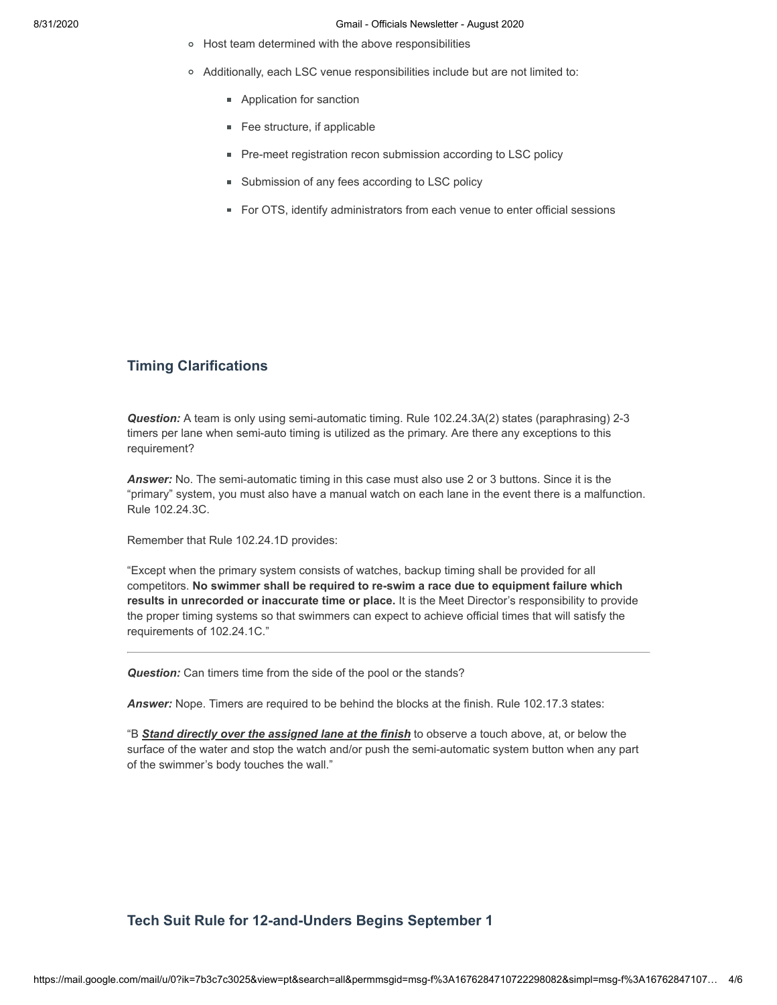- Host team determined with the above responsibilities
- Additionally, each LSC venue responsibilities include but are not limited to:
	- **Application for sanction**
	- **Fee structure, if applicable**
	- **Pre-meet registration recon submission according to LSC policy**
	- **Submission of any fees according to LSC policy**
	- For OTS, identify administrators from each venue to enter official sessions

## **Timing Clarifications**

*Question:* A team is only using semi-automatic timing. Rule 102.24.3A(2) states (paraphrasing) 2-3 timers per lane when semi-auto timing is utilized as the primary. Are there any exceptions to this requirement?

*Answer:* No. The semi-automatic timing in this case must also use 2 or 3 buttons. Since it is the "primary" system, you must also have a manual watch on each lane in the event there is a malfunction. Rule 102.24.3C.

Remember that Rule 102.24.1D provides:

"Except when the primary system consists of watches, backup timing shall be provided for all competitors. **No swimmer shall be required to re-swim a race due to equipment failure which results in unrecorded or inaccurate time or place.** It is the Meet Director's responsibility to provide the proper timing systems so that swimmers can expect to achieve official times that will satisfy the requirements of 102.24.1C."

*Question:* Can timers time from the side of the pool or the stands?

*Answer:* Nope. Timers are required to be behind the blocks at the finish. Rule 102.17.3 states:

"B *Stand directly over the assigned lane at the finish* to observe a touch above, at, or below the surface of the water and stop the watch and/or push the semi-automatic system button when any part of the swimmer's body touches the wall."

## **Tech Suit Rule for 12-and-Unders Begins September 1**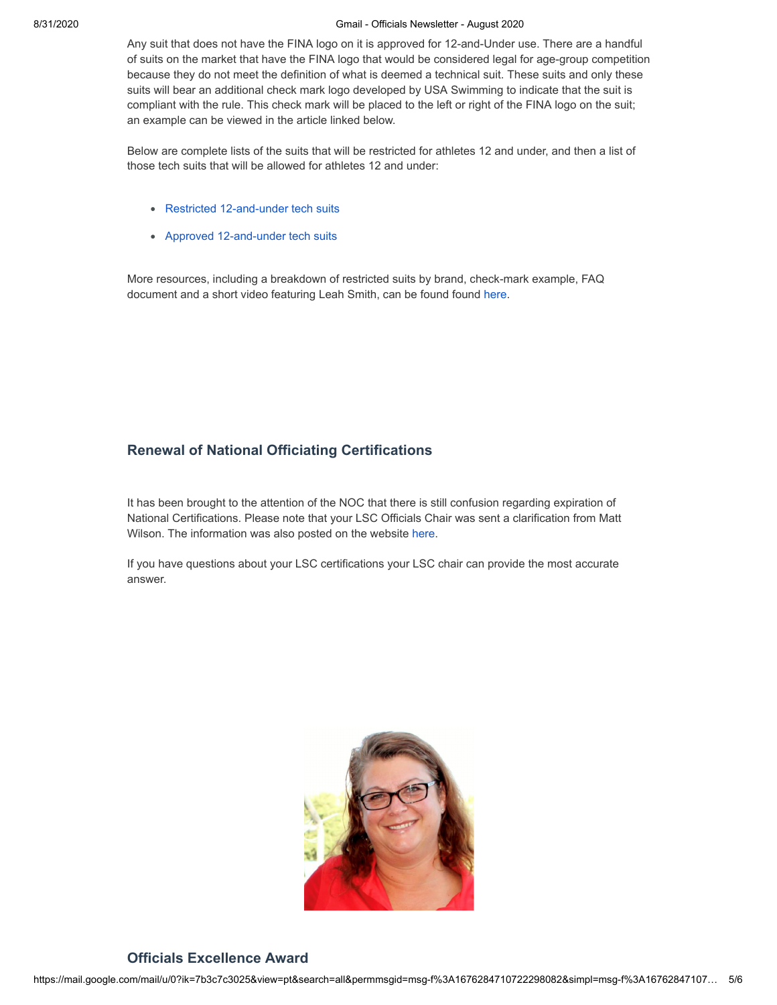#### 8/31/2020 Gmail - Officials Newsletter - August 2020

Any suit that does not have the FINA logo on it is approved for 12-and-Under use. There are a handful of suits on the market that have the FINA logo that would be considered legal for age-group competition because they do not meet the definition of what is deemed a technical suit. These suits and only these suits will bear an additional check mark logo developed by USA Swimming to indicate that the suit is compliant with the rule. This check mark will be placed to the left or right of the FINA logo on the suit; an example can be viewed in the article linked below.

Below are complete lists of the suits that will be restricted for athletes 12 and under, and then a list of those tech suits that will be allowed for athletes 12 and under:

- [Restricted 12-and-under tech suits](http://pages.usaswimming.org/P000w0ZKrC0Ol20G0o8Z1B0)
- [Approved 12-and-under tech suits](http://pages.usaswimming.org/m000wD0020BZ1rOoCES0KZ0)

More resources, including a breakdown of restricted suits by brand, check-mark example, FAQ document and a short video featuring Leah Smith, can be found found [here.](http://pages.usaswimming.org/B100EK0Zw00020EC0oTrOBZ)

## **Renewal of National Officiating Certifications**

It has been brought to the attention of the NOC that there is still confusion regarding expiration of National Certifications. Please note that your LSC Officials Chair was sent a clarification from Matt Wilson. The information was also posted on the website [here.](http://pages.usaswimming.org/LB20ZC0010vD0KfoO0r0Z0w)

If you have questions about your LSC certifications your LSC chair can provide the most accurate answer.



## **Officials Excellence Award**